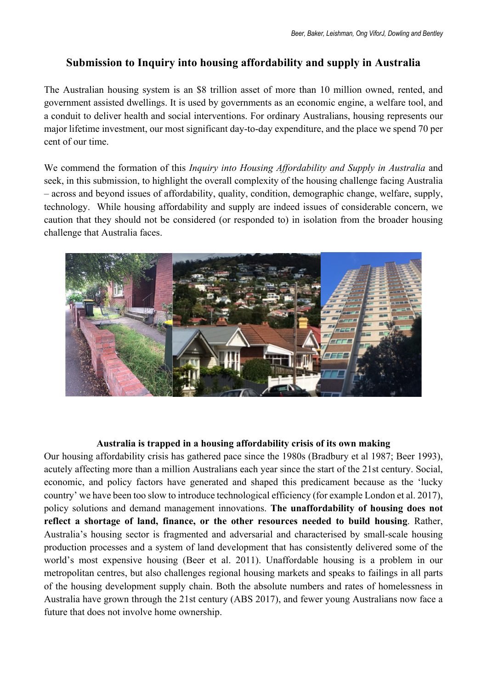## **Submission to Inquiry into housing affordability and supply in Australia**

The Australian housing system is an \$8 trillion asset of more than 10 million owned, rented, and government assisted dwellings. It is used by governments as an economic engine, a welfare tool, and a conduit to deliver health and social interventions. For ordinary Australians, housing represents our major lifetime investment, our most significant day-to-day expenditure, and the place we spend 70 per cent of our time.

We commend the formation of this *Inquiry into Housing Affordability and Supply in Australia* and seek, in this submission, to highlight the overall complexity of the housing challenge facing Australia – across and beyond issues of affordability, quality, condition, demographic change, welfare, supply, technology. While housing affordability and supply are indeed issues of considerable concern, we caution that they should not be considered (or responded to) in isolation from the broader housing challenge that Australia faces.



## **Australia is trapped in a housing affordability crisis of its own making**

Our housing affordability crisis has gathered pace since the 1980s (Bradbury et al 1987; Beer 1993), acutely affecting more than a million Australians each year since the start of the 21st century. Social, economic, and policy factors have generated and shaped this predicament because as the 'lucky country' we have been too slow to introduce technological efficiency (for example London et al. 2017), policy solutions and demand management innovations. **The unaffordability of housing does not reflect a shortage of land, finance, or the other resources needed to build housing**. Rather, Australia's housing sector is fragmented and adversarial and characterised by small-scale housing production processes and a system of land development that has consistently delivered some of the world's most expensive housing (Beer et al. 2011). Unaffordable housing is a problem in our metropolitan centres, but also challenges regional housing markets and speaks to failings in all parts of the housing development supply chain. Both the absolute numbers and rates of homelessness in Australia have grown through the 21st century (ABS 2017), and fewer young Australians now face a future that does not involve home ownership.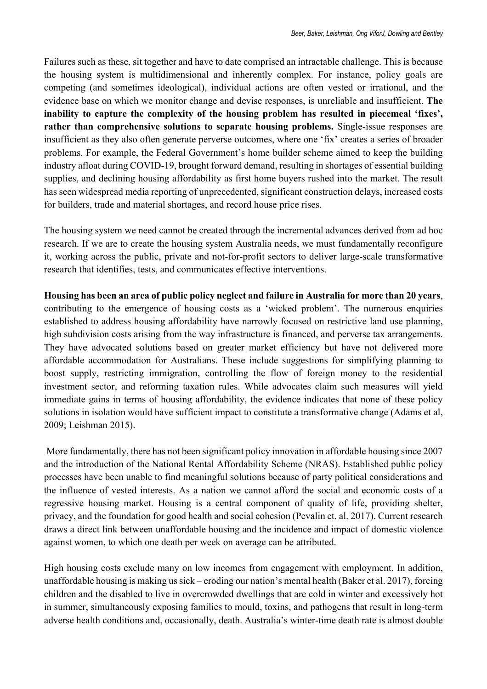Failures such as these, sit together and have to date comprised an intractable challenge. This is because the housing system is multidimensional and inherently complex. For instance, policy goals are competing (and sometimes ideological), individual actions are often vested or irrational, and the evidence base on which we monitor change and devise responses, is unreliable and insufficient. **The inability to capture the complexity of the housing problem has resulted in piecemeal 'fixes', rather than comprehensive solutions to separate housing problems.** Single-issue responses are insufficient as they also often generate perverse outcomes, where one 'fix' creates a series of broader problems. For example, the Federal Government's home builder scheme aimed to keep the building industry afloat during COVID-19, brought forward demand, resulting in shortages of essential building supplies, and declining housing affordability as first home buyers rushed into the market. The result has seen widespread media reporting of unprecedented, significant construction delays, increased costs for builders, trade and material shortages, and record house price rises.

The housing system we need cannot be created through the incremental advances derived from ad hoc research. If we are to create the housing system Australia needs, we must fundamentally reconfigure it, working across the public, private and not-for-profit sectors to deliver large-scale transformative research that identifies, tests, and communicates effective interventions.

**Housing has been an area of public policy neglect and failure in Australia for more than 20 years**, contributing to the emergence of housing costs as a 'wicked problem'. The numerous enquiries established to address housing affordability have narrowly focused on restrictive land use planning, high subdivision costs arising from the way infrastructure is financed, and perverse tax arrangements. They have advocated solutions based on greater market efficiency but have not delivered more affordable accommodation for Australians. These include suggestions for simplifying planning to boost supply, restricting immigration, controlling the flow of foreign money to the residential investment sector, and reforming taxation rules. While advocates claim such measures will yield immediate gains in terms of housing affordability, the evidence indicates that none of these policy solutions in isolation would have sufficient impact to constitute a transformative change (Adams et al, 2009; Leishman 2015).

More fundamentally, there has not been significant policy innovation in affordable housing since 2007 and the introduction of the National Rental Affordability Scheme (NRAS). Established public policy processes have been unable to find meaningful solutions because of party political considerations and the influence of vested interests. As a nation we cannot afford the social and economic costs of a regressive housing market. Housing is a central component of quality of life, providing shelter, privacy, and the foundation for good health and social cohesion (Pevalin et. al. 2017). Current research draws a direct link between unaffordable housing and the incidence and impact of domestic violence against women, to which one death per week on average can be attributed.

High housing costs exclude many on low incomes from engagement with employment. In addition, unaffordable housing is making us sick – eroding our nation's mental health (Baker et al. 2017), forcing children and the disabled to live in overcrowded dwellings that are cold in winter and excessively hot in summer, simultaneously exposing families to mould, toxins, and pathogens that result in long-term adverse health conditions and, occasionally, death. Australia's winter-time death rate is almost double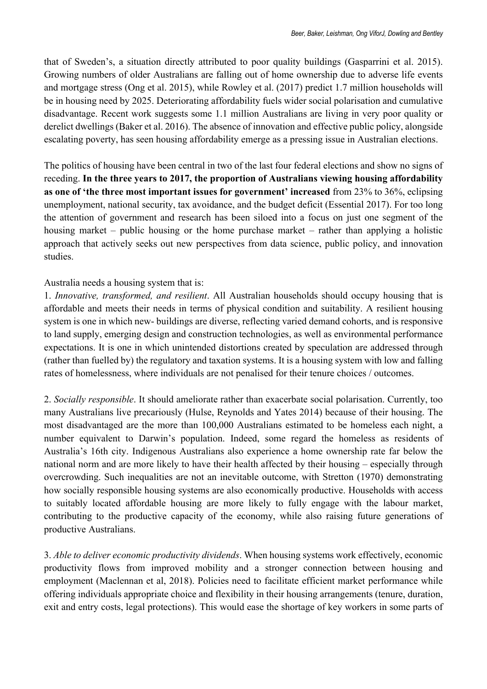that of Sweden's, a situation directly attributed to poor quality buildings (Gasparrini et al. 2015). Growing numbers of older Australians are falling out of home ownership due to adverse life events and mortgage stress (Ong et al. 2015), while Rowley et al. (2017) predict 1.7 million households will be in housing need by 2025. Deteriorating affordability fuels wider social polarisation and cumulative disadvantage. Recent work suggests some 1.1 million Australians are living in very poor quality or derelict dwellings (Baker et al. 2016). The absence of innovation and effective public policy, alongside escalating poverty, has seen housing affordability emerge as a pressing issue in Australian elections.

The politics of housing have been central in two of the last four federal elections and show no signs of receding. **In the three years to 2017, the proportion of Australians viewing housing affordability as one of 'the three most important issues for government' increased** from 23% to 36%, eclipsing unemployment, national security, tax avoidance, and the budget deficit (Essential 2017). For too long the attention of government and research has been siloed into a focus on just one segment of the housing market – public housing or the home purchase market – rather than applying a holistic approach that actively seeks out new perspectives from data science, public policy, and innovation studies.

## Australia needs a housing system that is:

1. *Innovative, transformed, and resilient*. All Australian households should occupy housing that is affordable and meets their needs in terms of physical condition and suitability. A resilient housing system is one in which new- buildings are diverse, reflecting varied demand cohorts, and is responsive to land supply, emerging design and construction technologies, as well as environmental performance expectations. It is one in which unintended distortions created by speculation are addressed through (rather than fuelled by) the regulatory and taxation systems. It is a housing system with low and falling rates of homelessness, where individuals are not penalised for their tenure choices / outcomes.

2. *Socially responsible*. It should ameliorate rather than exacerbate social polarisation. Currently, too many Australians live precariously (Hulse, Reynolds and Yates 2014) because of their housing. The most disadvantaged are the more than 100,000 Australians estimated to be homeless each night, a number equivalent to Darwin's population. Indeed, some regard the homeless as residents of Australia's 16th city. Indigenous Australians also experience a home ownership rate far below the national norm and are more likely to have their health affected by their housing – especially through overcrowding. Such inequalities are not an inevitable outcome, with Stretton (1970) demonstrating how socially responsible housing systems are also economically productive. Households with access to suitably located affordable housing are more likely to fully engage with the labour market, contributing to the productive capacity of the economy, while also raising future generations of productive Australians.

3. *Able to deliver economic productivity dividends*. When housing systems work effectively, economic productivity flows from improved mobility and a stronger connection between housing and employment (Maclennan et al, 2018). Policies need to facilitate efficient market performance while offering individuals appropriate choice and flexibility in their housing arrangements (tenure, duration, exit and entry costs, legal protections). This would ease the shortage of key workers in some parts of